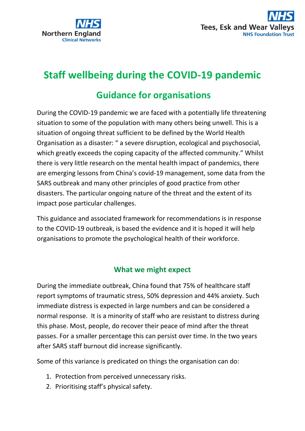



# **Staff wellbeing during the COVID-19 pandemic**

# **Guidance for organisations**

During the COVID-19 pandemic we are faced with a potentially life threatening situation to some of the population with many others being unwell. This is a situation of ongoing threat sufficient to be defined by the World Health Organisation as a disaster: " a severe disruption, ecological and psychosocial, which greatly exceeds the coping capacity of the affected community." Whilst there is very little research on the mental health impact of pandemics, there are emerging lessons from China's covid-19 management, some data from the SARS outbreak and many other principles of good practice from other disasters. The particular ongoing nature of the threat and the extent of its impact pose particular challenges.

This guidance and associated framework for recommendations is in response to the COVID-19 outbreak, is based the evidence and it is hoped it will help organisations to promote the psychological health of their workforce.

## **What we might expect**

During the immediate outbreak, China found that 75% of healthcare staff report symptoms of traumatic stress, 50% depression and 44% anxiety. Such immediate distress is expected in large numbers and can be considered a normal response. It is a minority of staff who are resistant to distress during this phase. Most, people, do recover their peace of mind after the threat passes. For a smaller percentage this can persist over time. In the two years after SARS staff burnout did increase significantly.

Some of this variance is predicated on things the organisation can do:

- 1. Protection from perceived unnecessary risks.
- 2. Prioritising staff's physical safety.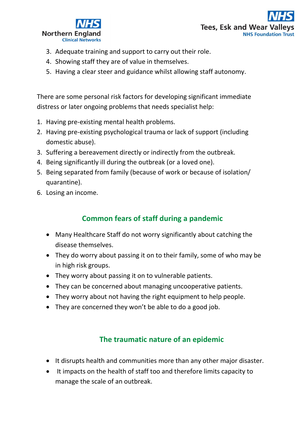



- 3. Adequate training and support to carry out their role.
- 4. Showing staff they are of value in themselves.
- 5. Having a clear steer and guidance whilst allowing staff autonomy.

There are some personal risk factors for developing significant immediate distress or later ongoing problems that needs specialist help:

- 1. Having pre-existing mental health problems.
- 2. Having pre-existing psychological trauma or lack of support (including domestic abuse).
- 3. Suffering a bereavement directly or indirectly from the outbreak.
- 4. Being significantly ill during the outbreak (or a loved one).
- 5. Being separated from family (because of work or because of isolation/ quarantine).
- 6. Losing an income.

# **Common fears of staff during a pandemic**

- Many Healthcare Staff do not worry significantly about catching the disease themselves.
- They do worry about passing it on to their family, some of who may be in high risk groups.
- They worry about passing it on to vulnerable patients.
- They can be concerned about managing uncooperative patients.
- They worry about not having the right equipment to help people.
- They are concerned they won't be able to do a good job.

# **The traumatic nature of an epidemic**

- It disrupts health and communities more than any other major disaster.
- It impacts on the health of staff too and therefore limits capacity to manage the scale of an outbreak.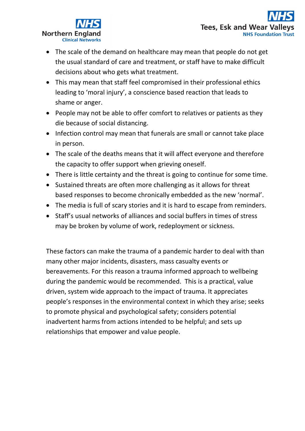

- The scale of the demand on healthcare may mean that people do not get the usual standard of care and treatment, or staff have to make difficult decisions about who gets what treatment.
- This may mean that staff feel compromised in their professional ethics leading to 'moral injury', a conscience based reaction that leads to shame or anger.
- People may not be able to offer comfort to relatives or patients as they die because of social distancing.
- Infection control may mean that funerals are small or cannot take place in person.
- The scale of the deaths means that it will affect everyone and therefore the capacity to offer support when grieving oneself.
- There is little certainty and the threat is going to continue for some time.
- Sustained threats are often more challenging as it allows for threat based responses to become chronically embedded as the new 'normal'.
- The media is full of scary stories and it is hard to escape from reminders.
- Staff's usual networks of alliances and social buffers in times of stress may be broken by volume of work, redeployment or sickness.

These factors can make the trauma of a pandemic harder to deal with than many other major incidents, disasters, mass casualty events or bereavements. For this reason a trauma informed approach to wellbeing during the pandemic would be recommended. This is a practical, value driven, system wide approach to the impact of trauma. It appreciates people's responses in the environmental context in which they arise; seeks to promote physical and psychological safety; considers potential inadvertent harms from actions intended to be helpful; and sets up relationships that empower and value people.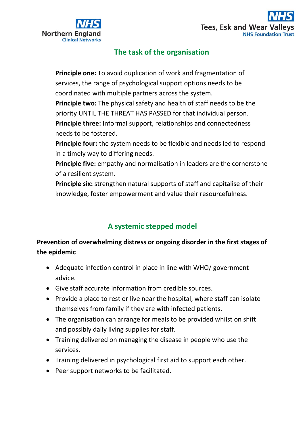



# **The task of the organisation**

**Principle one:** To avoid duplication of work and fragmentation of services, the range of psychological support options needs to be coordinated with multiple partners across the system.

**Principle two:** The physical safety and health of staff needs to be the priority UNTIL THE THREAT HAS PASSED for that individual person. **Principle three:** Informal support, relationships and connectedness needs to be fostered.

**Principle four:** the system needs to be flexible and needs led to respond in a timely way to differing needs.

**Principle five:** empathy and normalisation in leaders are the cornerstone of a resilient system.

**Principle six:** strengthen natural supports of staff and capitalise of their knowledge, foster empowerment and value their resourcefulness.

# **A systemic stepped model**

# **Prevention of overwhelming distress or ongoing disorder in the first stages of the epidemic**

- Adequate infection control in place in line with WHO/ government advice.
- Give staff accurate information from credible sources.
- Provide a place to rest or live near the hospital, where staff can isolate themselves from family if they are with infected patients.
- The organisation can arrange for meals to be provided whilst on shift and possibly daily living supplies for staff.
- Training delivered on managing the disease in people who use the services.
- Training delivered in psychological first aid to support each other.
- Peer support networks to be facilitated.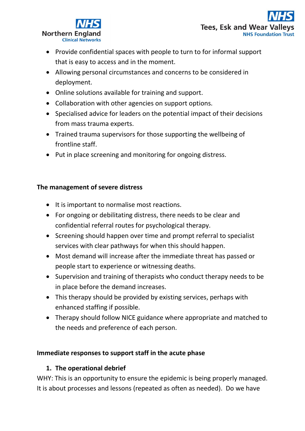

- Provide confidential spaces with people to turn to for informal support that is easy to access and in the moment.
- Allowing personal circumstances and concerns to be considered in deployment.
- Online solutions available for training and support.
- Collaboration with other agencies on support options.
- Specialised advice for leaders on the potential impact of their decisions from mass trauma experts.
- Trained trauma supervisors for those supporting the wellbeing of frontline staff.
- Put in place screening and monitoring for ongoing distress.

#### **The management of severe distress**

- It is important to normalise most reactions.
- For ongoing or debilitating distress, there needs to be clear and confidential referral routes for psychological therapy.
- Screening should happen over time and prompt referral to specialist services with clear pathways for when this should happen.
- Most demand will increase after the immediate threat has passed or people start to experience or witnessing deaths.
- Supervision and training of therapists who conduct therapy needs to be in place before the demand increases.
- This therapy should be provided by existing services, perhaps with enhanced staffing if possible.
- Therapy should follow NICE guidance where appropriate and matched to the needs and preference of each person.

#### **Immediate responses to support staff in the acute phase**

#### **1. The operational debrief**

WHY: This is an opportunity to ensure the epidemic is being properly managed. It is about processes and lessons (repeated as often as needed). Do we have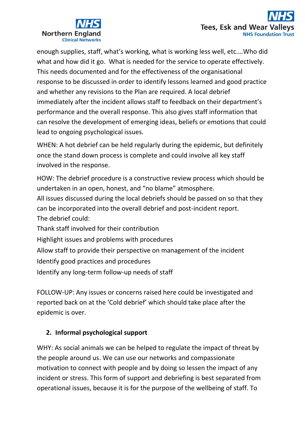

enough supplies, staff, what's working, what is working less well, etc….Who did what and how did it go. What is needed for the service to operate effectively. This needs documented and for the effectiveness of the organisational response to be discussed in order to identify lessons learned and good practice and whether any revisions to the Plan are required. A local debrief immediately after the incident allows staff to feedback on their department's performance and the overall response. This also gives staff information that can resolve the development of emerging ideas, beliefs or emotions that could lead to ongoing psychological issues.

WHEN: A hot debrief can be held regularly during the epidemic, but definitely once the stand down process is complete and could involve all key staff involved in the response.

HOW: The debrief procedure is a constructive review process which should be undertaken in an open, honest, and "no blame" atmosphere.

All issues discussed during the local debriefs should be passed on so that they can be incorporated into the overall debrief and post-incident report. The debrief could:

Thank staff involved for their contribution

Highlight issues and problems with procedures

Allow staff to provide their perspective on management of the incident

Identify good practices and procedures

Identify any long-term follow-up needs of staff

FOLLOW-UP: Any issues or concerns raised here could be investigated and reported back on at the 'Cold debrief' which should take place after the epidemic is over.

## **2. Informal psychological support**

WHY: As social animals we can be helped to regulate the impact of threat by the people around us. We can use our networks and compassionate motivation to connect with people and by doing so lessen the impact of any incident or stress. This form of support and debriefing is best separated from operational issues, because it is for the purpose of the wellbeing of staff. To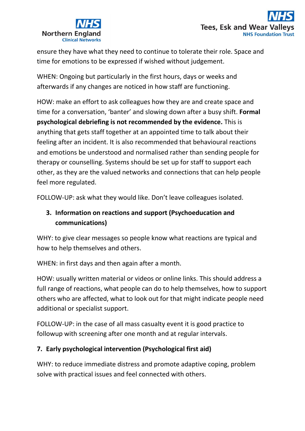



ensure they have what they need to continue to tolerate their role. Space and time for emotions to be expressed if wished without judgement.

WHEN: Ongoing but particularly in the first hours, days or weeks and afterwards if any changes are noticed in how staff are functioning.

HOW: make an effort to ask colleagues how they are and create space and time for a conversation, 'banter' and slowing down after a busy shift. **Formal psychological debriefing is not recommended by the evidence.** This is anything that gets staff together at an appointed time to talk about their feeling after an incident. It is also recommended that behavioural reactions and emotions be understood and normalised rather than sending people for therapy or counselling. Systems should be set up for staff to support each other, as they are the valued networks and connections that can help people feel more regulated.

FOLLOW-UP: ask what they would like. Don't leave colleagues isolated.

# **3. Information on reactions and support (Psychoeducation and communications)**

WHY: to give clear messages so people know what reactions are typical and how to help themselves and others.

WHEN: in first days and then again after a month.

HOW: usually written material or videos or online links. This should address a full range of reactions, what people can do to help themselves, how to support others who are affected, what to look out for that might indicate people need additional or specialist support.

FOLLOW-UP: in the case of all mass casualty event it is good practice to followup with screening after one month and at regular intervals.

#### **7. Early psychological intervention (Psychological first aid)**

WHY: to reduce immediate distress and promote adaptive coping, problem solve with practical issues and feel connected with others.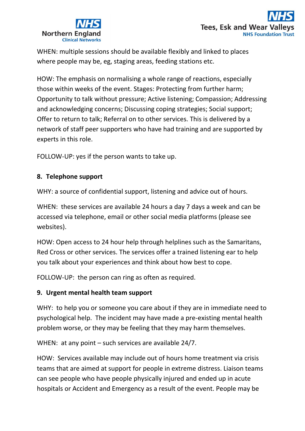

WHEN: multiple sessions should be available flexibly and linked to places where people may be, eg, staging areas, feeding stations etc.

HOW: The emphasis on normalising a whole range of reactions, especially those within weeks of the event. Stages: Protecting from further harm; Opportunity to talk without pressure; Active listening; Compassion; Addressing and acknowledging concerns; Discussing coping strategies; Social support; Offer to return to talk; Referral on to other services. This is delivered by a network of staff peer supporters who have had training and are supported by experts in this role.

FOLLOW-UP: yes if the person wants to take up.

#### **8. Telephone support**

WHY: a source of confidential support, listening and advice out of hours.

WHEN: these services are available 24 hours a day 7 days a week and can be accessed via telephone, email or other social media platforms (please see websites).

HOW: Open access to 24 hour help through helplines such as the Samaritans, Red Cross or other services. The services offer a trained listening ear to help you talk about your experiences and think about how best to cope.

FOLLOW-UP: the person can ring as often as required.

#### **9. Urgent mental health team support**

WHY: to help you or someone you care about if they are in immediate need to psychological help. The incident may have made a pre-existing mental health problem worse, or they may be feeling that they may harm themselves.

WHEN: at any point – such services are available 24/7.

HOW: Services available may include out of hours home treatment via crisis teams that are aimed at support for people in extreme distress. Liaison teams can see people who have people physically injured and ended up in acute hospitals or Accident and Emergency as a result of the event. People may be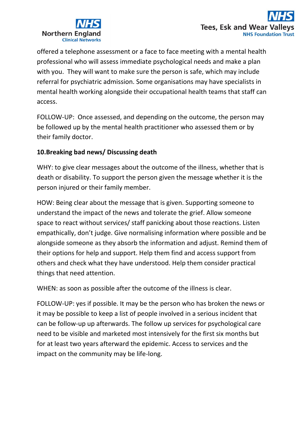

offered a telephone assessment or a face to face meeting with a mental health professional who will assess immediate psychological needs and make a plan with you. They will want to make sure the person is safe, which may include referral for psychiatric admission. Some organisations may have specialists in mental health working alongside their occupational health teams that staff can access.

FOLLOW-UP: Once assessed, and depending on the outcome, the person may be followed up by the mental health practitioner who assessed them or by their family doctor.

#### **10.Breaking bad news/ Discussing death**

WHY: to give clear messages about the outcome of the illness, whether that is death or disability. To support the person given the message whether it is the person injured or their family member.

HOW: Being clear about the message that is given. Supporting someone to understand the impact of the news and tolerate the grief. Allow someone space to react without services/ staff panicking about those reactions. Listen empathically, don't judge. Give normalising information where possible and be alongside someone as they absorb the information and adjust. Remind them of their options for help and support. Help them find and access support from others and check what they have understood. Help them consider practical things that need attention.

WHEN: as soon as possible after the outcome of the illness is clear.

FOLLOW-UP: yes if possible. It may be the person who has broken the news or it may be possible to keep a list of people involved in a serious incident that can be follow-up up afterwards. The follow up services for psychological care need to be visible and marketed most intensively for the first six months but for at least two years afterward the epidemic. Access to services and the impact on the community may be life-long.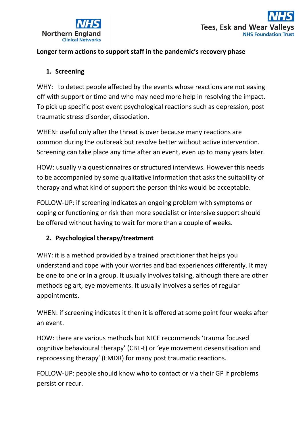

#### **Longer term actions to support staff in the pandemic's recovery phase**

#### **1. Screening**

WHY: to detect people affected by the events whose reactions are not easing off with support or time and who may need more help in resolving the impact. To pick up specific post event psychological reactions such as depression, post traumatic stress disorder, dissociation.

WHEN: useful only after the threat is over because many reactions are common during the outbreak but resolve better without active intervention. Screening can take place any time after an event, even up to many years later.

HOW: usually via questionnaires or structured interviews. However this needs to be accompanied by some qualitative information that asks the suitability of therapy and what kind of support the person thinks would be acceptable.

FOLLOW-UP: if screening indicates an ongoing problem with symptoms or coping or functioning or risk then more specialist or intensive support should be offered without having to wait for more than a couple of weeks.

#### **2. Psychological therapy/treatment**

WHY: it is a method provided by a trained practitioner that helps you understand and cope with your worries and bad experiences differently. It may be one to one or in a group. It usually involves talking, although there are other methods eg art, eye movements. It usually involves a series of regular appointments.

WHEN: if screening indicates it then it is offered at some point four weeks after an event.

HOW: there are various methods but NICE recommends 'trauma focused cognitive behavioural therapy' (CBT-t) or 'eye movement desensitisation and reprocessing therapy' (EMDR) for many post traumatic reactions.

FOLLOW-UP: people should know who to contact or via their GP if problems persist or recur.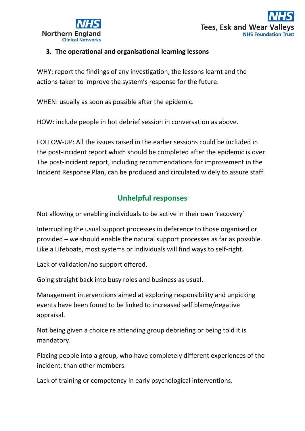



#### **3. The operational and organisational learning lessons**

WHY: report the findings of any investigation, the lessons learnt and the actions taken to improve the system's response for the future.

WHEN: usually as soon as possible after the epidemic.

HOW: include people in hot debrief session in conversation as above.

FOLLOW-UP: All the issues raised in the earlier sessions could be included in the post-incident report which should be completed after the epidemic is over. The post-incident report, including recommendations for improvement in the Incident Response Plan, can be produced and circulated widely to assure staff.

# **Unhelpful responses**

Not allowing or enabling individuals to be active in their own 'recovery'

Interrupting the usual support processes in deference to those organised or provided – we should enable the natural support processes as far as possible. Like a Lifeboats, most systems or individuals will find ways to self-right.

Lack of validation/no support offered.

Going straight back into busy roles and business as usual.

Management interventions aimed at exploring responsibility and unpicking events have been found to be linked to increased self blame/negative appraisal.

Not being given a choice re attending group debriefing or being told it is mandatory.

Placing people into a group, who have completely different experiences of the incident, than other members.

Lack of training or competency in early psychological interventions.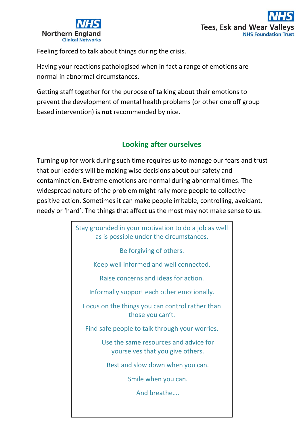



Feeling forced to talk about things during the crisis.

Having your reactions pathologised when in fact a range of emotions are normal in abnormal circumstances.

Getting staff together for the purpose of talking about their emotions to prevent the development of mental health problems (or other one off group based intervention) is **not** recommended by nice.

## **Looking after ourselves**

Turning up for work during such time requires us to manage our fears and trust that our leaders will be making wise decisions about our safety and contamination. Extreme emotions are normal during abnormal times. The widespread nature of the problem might rally more people to collective positive action. Sometimes it can make people irritable, controlling, avoidant, needy or 'hard'. The things that affect us the most may not make sense to us.

> Stay grounded in your motivation to do a job as well as is possible under the circumstances. Be forgiving of others. Keep well informed and well connected. Raise concerns and ideas for action. Informally support each other emotionally. Focus on the things you can control rather than those you can't. Find safe people to talk through your worries. Use the same resources and advice for yourselves that you give others. Rest and slow down when you can. Smile when you can. And breathe….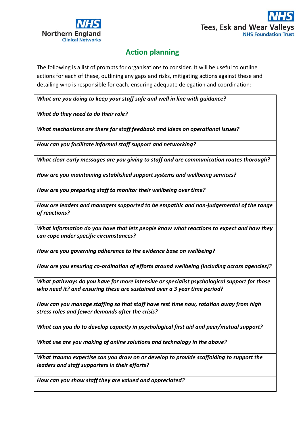



# **Action planning**

The following is a list of prompts for organisations to consider. It will be useful to outline actions for each of these, outlining any gaps and risks, mitigating actions against these and detailing who is responsible for each, ensuring adequate delegation and coordination:

*What are you doing to keep your staff safe and well in line with guidance?* 

*What do they need to do their role?*

*What mechanisms are there for staff feedback and ideas on operational issues?*

*How can you facilitate informal staff support and networking?*

*What clear early messages are you giving to staff and are communication routes thorough?*

*How are you maintaining established support systems and wellbeing services?*

*How are you preparing staff to monitor their wellbeing over time?*

*How are leaders and managers supported to be empathic and non-judgemental of the range of reactions?*

*What information do you have that lets people know what reactions to expect and how they can cope under specific circumstances?*

*How are you governing adherence to the evidence base on wellbeing?*

*How are you ensuring co-ordination of efforts around wellbeing (including across agencies)?*

*What pathways do you have for more intensive or specialist psychological support for those who need it? and ensuring these are sustained over a 3 year time period?*

*How can you manage staffing so that staff have rest time now, rotation away from high stress roles and fewer demands after the crisis?*

*What can you do to develop capacity in psychological first aid and peer/mutual support?*

*What use are you making of online solutions and technology in the above?*

*What trauma expertise can you draw on or develop to provide scaffolding to support the leaders and staff supporters in their efforts?*

*How can you show staff they are valued and appreciated?*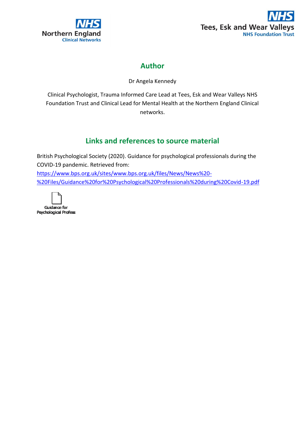



# **Author**

Dr Angela Kennedy

Clinical Psychologist, Trauma Informed Care Lead at Tees, Esk and Wear Valleys NHS Foundation Trust and Clinical Lead for Mental Health at the Northern England Clinical networks.

# **Links and references to source material**

British Psychological Society (2020). Guidance for psychological professionals during the COVID-19 pandemic. Retrieved from: [https://www.bps.org.uk/sites/www.bps.org.uk/files/News/News%20-](https://www.bps.org.uk/sites/www.bps.org.uk/files/News/News%20-%20Files/Guidance%20for%20Psychological%20Professionals%20during%20Covid-19.pdf) [%20Files/Guidance%20for%20Psychological%20Professionals%20during%20Covid-19.pdf](https://www.bps.org.uk/sites/www.bps.org.uk/files/News/News%20-%20Files/Guidance%20for%20Psychological%20Professionals%20during%20Covid-19.pdf)



Psychological Profess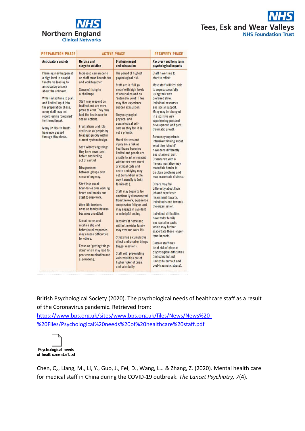



| <b>PREPARATION PHASE</b>                                                                                                                                                                                                                                                                                                                                    | <b>ACTIVE PHASE</b>                                                                                                                                                                                                                                                                                                                                                                                                                                                                                                                                                                                                                                                                                                                                                                                                                                                                                                      |                                                                                                                                                                                                                                                                                                                                                                                                                                                                                                                                                                                                                                                                                                                                                                                                                                                                                                                                                                                                                  | <b>RECOVERY PHASE</b>                                                                                                                                                                                                                                                                                                                                                                                                                                                                                                                                                                                                                                                                                                                                                                                                                                                                                                                                                                               |
|-------------------------------------------------------------------------------------------------------------------------------------------------------------------------------------------------------------------------------------------------------------------------------------------------------------------------------------------------------------|--------------------------------------------------------------------------------------------------------------------------------------------------------------------------------------------------------------------------------------------------------------------------------------------------------------------------------------------------------------------------------------------------------------------------------------------------------------------------------------------------------------------------------------------------------------------------------------------------------------------------------------------------------------------------------------------------------------------------------------------------------------------------------------------------------------------------------------------------------------------------------------------------------------------------|------------------------------------------------------------------------------------------------------------------------------------------------------------------------------------------------------------------------------------------------------------------------------------------------------------------------------------------------------------------------------------------------------------------------------------------------------------------------------------------------------------------------------------------------------------------------------------------------------------------------------------------------------------------------------------------------------------------------------------------------------------------------------------------------------------------------------------------------------------------------------------------------------------------------------------------------------------------------------------------------------------------|-----------------------------------------------------------------------------------------------------------------------------------------------------------------------------------------------------------------------------------------------------------------------------------------------------------------------------------------------------------------------------------------------------------------------------------------------------------------------------------------------------------------------------------------------------------------------------------------------------------------------------------------------------------------------------------------------------------------------------------------------------------------------------------------------------------------------------------------------------------------------------------------------------------------------------------------------------------------------------------------------------|
| <b>Anticipatory anxiety</b>                                                                                                                                                                                                                                                                                                                                 | <b>Heroics and</b><br>surge to solution                                                                                                                                                                                                                                                                                                                                                                                                                                                                                                                                                                                                                                                                                                                                                                                                                                                                                  | <b>Disillusionment</b><br>and exhaustion                                                                                                                                                                                                                                                                                                                                                                                                                                                                                                                                                                                                                                                                                                                                                                                                                                                                                                                                                                         | <b>Recovery and long term</b><br>psychological impacts                                                                                                                                                                                                                                                                                                                                                                                                                                                                                                                                                                                                                                                                                                                                                                                                                                                                                                                                              |
| Planning may happen at<br>a high level in a rapid<br>timeframe leading to<br>anticipatory anxiety<br>about the unknown.<br>With limited time to plan,<br>and limited input into<br>the preparation phase,<br>many staff may not<br>report feeling 'prepared'<br>for the outbreak.<br><b>Many UK Health Trusts</b><br>have now passed<br>through this phase. | Increased camaraderie<br>as staff cross boundaries<br>and work together.<br>Sense of rising to<br>a challenge.<br>Staff may respond on<br>instinct and are more<br>prone to error. They may<br>lack the headspace to<br>see all options.<br><b>Frustrations and role</b><br>confusion as people try<br>to adapt quickly within<br>current system design.<br><b>Staff witnessing things</b><br>they have never seen<br>before and feeling<br>out of control.<br><b>Disagreement</b><br>between groups over<br>sense of urgency.<br>Staff lose usual<br>boundaries over working<br>hours and breaks and<br>start to over-work.<br><b>Work-life tensions</b><br>arise as family life also<br>becomes unsettled<br>Social norms and<br>niceties slip and<br>behavioural responses<br>may causes difficulties<br>for others<br>Focus on 'getting things<br>done' which may lead to<br>poor communication and<br>silo working. | The period of highest<br>psychological risk.<br>Staff are in 'full go<br>mode' with high levels<br>of adrenaline and on<br>'automatic pilot'. They<br>may then experience<br>sudden exhaustion.<br>They may neglect<br>physical and<br>psychological self-<br>care as they feel it is<br>not a priority.<br>Moral distress and<br>injury are a risk as<br>healthcare becomes<br>limited and people are<br>unable to act or respond<br>within their own moral<br>or ethical code and<br>death and dying may<br>not be handled in the<br>way it usually is (with<br>family etc.).<br>Staff may begin to feel<br>emotionally disconnected<br>from the work, experience<br>compassion fatigue, and<br>may engage in avoidant<br>or unhelpful coping.<br>Tensions at home and<br>within the wider family<br>may over-run work life.<br>Stress has a cumulative<br>effect and smaller things<br>trigger reactions.<br>Staff with pre-existing<br>vulnerabilities are at<br>higher risker of crisis<br>and suicidality. | Staff have time to<br>start to reflect.<br>Most staff will feel able<br>to cope successfully<br>using their own<br>preferred style,<br>individual resources<br>and social support.<br>Many may be changed<br>in a positive way,<br>experiencing personal<br>development, and post<br>traumatic growth.<br>Some may experience<br>intrusive thinking about<br>what they 'should'<br>have done differently<br>and shame or guilt.<br>Dissonance with a<br>'heroes' narrative may<br>make this harder to<br>disclose problems and<br>may exacerbate distress.<br>Others may feel<br>differently about their<br>job and experience<br>resentment towards<br>individuals and towards<br>the organisation.<br>Individual difficulties<br>have wider family<br>and social impacts<br>which may further<br>exacerbate these longer-<br>term impacts.<br>Certain staff may<br>be at risk of chronic<br>psychological difficulties<br>(including but not<br>limited to burnout and<br>post-traumatic stress). |

British Psychological Society (2020). The psychological needs of healthcare staff as a result of the Coronavirus pandemic. Retrieved from:

[https://www.bps.org.uk/sites/www.bps.org.uk/files/News/News%20-](https://www.bps.org.uk/sites/www.bps.org.uk/files/News/News%20-%20Files/Psychological%20needs%20of%20healthcare%20staff.pdf) [%20Files/Psychological%20needs%20of%20healthcare%20staff.pdf](https://www.bps.org.uk/sites/www.bps.org.uk/files/News/News%20-%20Files/Psychological%20needs%20of%20healthcare%20staff.pdf)



Chen, Q., Liang, M., Li, Y., Guo, J., Fei, D., Wang, L… & Zhang, Z. (2020). Mental health care for medical staff in China during the COVID-19 outbreak. *The Lancet Psychiatry, 7*(4).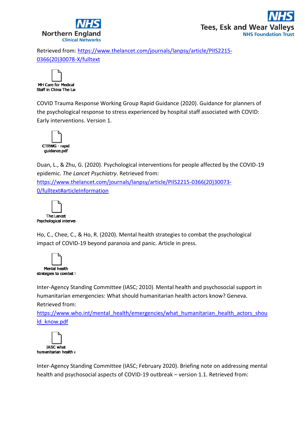

Retrieved from: [https://www.thelancet.com/journals/lanpsy/article/PIIS2215-](https://www.thelancet.com/journals/lanpsy/article/PIIS2215-0366(20)30078-X/fulltext) [0366\(20\)30078-X/fulltext](https://www.thelancet.com/journals/lanpsy/article/PIIS2215-0366(20)30078-X/fulltext)



COVID Trauma Response Working Group Rapid Guidance (2020). Guidance for planners of the psychological response to stress experienced by hospital staff associated with COVID: Early interventions. Version 1.



Duan, L., & Zhu, G. (2020). Psychological interventions for people affected by the COVID-19 epidemic. *The Lancet Psychiatry*. Retrieved from: [https://www.thelancet.com/journals/lanpsy/article/PIIS2215-0366\(20\)30073-](https://www.thelancet.com/journals/lanpsy/article/PIIS2215-0366(20)30073-0/fulltext#articleInformation) [0/fulltext#articleInformation](https://www.thelancet.com/journals/lanpsy/article/PIIS2215-0366(20)30073-0/fulltext#articleInformation)



Ho, C., Chee, C., & Ho, R. (2020). Mental health strategies to combat the psychological impact of COVID-19 beyond paranoia and panic. Article in press.



Inter-Agency Standing Committee (IASC; 2010). Mental health and psychosocial support in humanitarian emergencies: What should humanitarian health actors know? Geneva.

Retrieved from:

[https://www.who.int/mental\\_health/emergencies/what\\_humanitarian\\_health\\_actors\\_shou](https://www.who.int/mental_health/emergencies/what_humanitarian_health_actors_should_know.pdf) [ld\\_know.pdf](https://www.who.int/mental_health/emergencies/what_humanitarian_health_actors_should_know.pdf)



Inter-Agency Standing Committee (IASC; February 2020). Briefing note on addressing mental health and psychosocial aspects of COVID-19 outbreak – version 1.1. Retrieved from: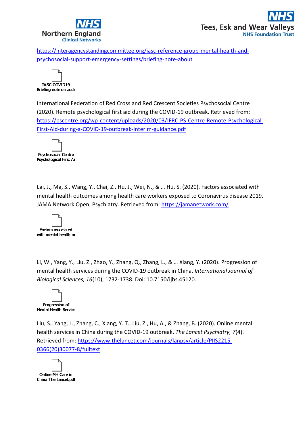

[https://interagencystandingcommittee.org/iasc-reference-group-mental-health-and](https://interagencystandingcommittee.org/iasc-reference-group-mental-health-and-psychosocial-support-emergency-settings/briefing-note-about)[psychosocial-support-emergency-settings/briefing-note-about](https://interagencystandingcommittee.org/iasc-reference-group-mental-health-and-psychosocial-support-emergency-settings/briefing-note-about)



International Federation of Red Cross and Red Crescent Societies Psychosocial Centre (2020). Remote psychological first aid during the COVID-19 outbreak. Retrieved from: [https://pscentre.org/wp-content/uploads/2020/03/IFRC-PS-Centre-Remote-Psychological-](https://pscentre.org/wp-content/uploads/2020/03/IFRC-PS-Centre-Remote-Psychological-First-Aid-during-a-COVID-19-outbreak-Interim-guidance.pdf)[First-Aid-during-a-COVID-19-outbreak-Interim-guidance.pdf](https://pscentre.org/wp-content/uploads/2020/03/IFRC-PS-Centre-Remote-Psychological-First-Aid-during-a-COVID-19-outbreak-Interim-guidance.pdf)



Lai, J., Ma, S., Wang, Y., Chai, Z., Hu, J., Wei, N., & … Hu, S. (2020). Factors associated with mental health outcomes among health care workers exposed to Coronavirus disease 2019. JAMA Network Open, Psychiatry. Retrieved from:<https://jamanetwork.com/>



Li, W., Yang, Y., Liu, Z., Zhao, Y., Zhang, Q., Zhang, L., & … Xiang, Y. (2020). Progression of mental health services during the COVID-19 outbreak in China. *International Journal of Biological Sciences, 16*(10), 1732-1738. Doi: 10.7150/ijbs.45120.



Liu, S., Yang, L., Zhang, C., Xiang, Y. T., Liu, Z., Hu, A., & Zhang, B. (2020). Online mental health services in China during the COVID-19 outbreak. *The Lancet Psychiatry, 7*(4). Retrieved from: [https://www.thelancet.com/journals/lanpsy/article/PIIS2215-](https://www.thelancet.com/journals/lanpsy/article/PIIS2215-0366(20)30077-8/fulltext) [0366\(20\)30077-8/fulltext](https://www.thelancet.com/journals/lanpsy/article/PIIS2215-0366(20)30077-8/fulltext)

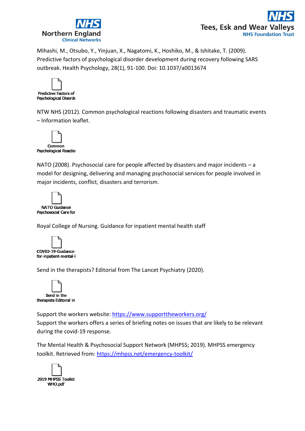



Mihashi, M., Otsubo, Y., Yinjuan, X., Nagatomi, K., Hoshiko, M., & Ishitake, T. (2009). Predictive factors of psychological disorder development during recovery following SARS outbreak. Health Psychology, 28(1), 91-100. Doi: 10.1037/a0013674



NTW NHS (2012). Common psychological reactions following disasters and traumatic events – Information leaflet.



NATO (2008). Psychosocial care for people affected by disasters and major incidents – a model for designing, delivering and managing psychosocial services for people involved in major incidents, conflict, disasters and terrorism.

| NATO Guidance         |  |
|-----------------------|--|
| Psychosocial Care for |  |

Royal College of Nursing. Guidance for inpatient mental health staff



Send in the therapists? Editorial from The Lancet Psychiatry (2020).



Support the workers website:<https://www.supporttheworkers.org/> Support the workers offers a series of briefing notes on issues that are likely to be relevant during the covid-19 response.

The Mental Health & Psychosocial Support Network (MHPSS; 2019). MHPSS emergency toolkit. Retrieved from:<https://mhpss.net/emergency-toolkit/>

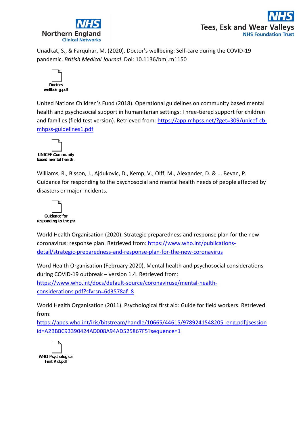



Unadkat, S., & Farquhar, M. (2020). Doctor's wellbeing: Self-care during the COVID-19 pandemic. *British Medical Journal*. Doi: 10.1136/bmj.m1150



United Nations Children's Fund (2018). Operational guidelines on community based mental health and psychosocial support in humanitarian settings: Three-tiered support for children and families (field test version). Retrieved from: [https://app.mhpss.net/?get=309/unicef-cb](https://app.mhpss.net/?get=309/unicef-cb-mhpss-guidelines1.pdf)[mhpss-guidelines1.pdf](https://app.mhpss.net/?get=309/unicef-cb-mhpss-guidelines1.pdf)



Williams, R., Bisson, J., Ajdukovic, D., Kemp, V., Olff, M., Alexander, D. & ... Bevan, P. Guidance for responding to the psychosocial and mental health needs of people affected by disasters or major incidents.



World Health Organisation (2020). Strategic preparedness and response plan for the new coronavirus: response plan. Retrieved from: [https://www.who.int/publications](https://www.who.int/publications-detail/strategic-preparedness-and-response-plan-for-the-new-coronavirus)[detail/strategic-preparedness-and-response-plan-for-the-new-coronavirus](https://www.who.int/publications-detail/strategic-preparedness-and-response-plan-for-the-new-coronavirus)

Word Health Organisation (February 2020). Mental health and psychosocial considerations during COVID-19 outbreak – version 1.4. Retrieved from:

[https://www.who.int/docs/default-source/coronaviruse/mental-health](https://www.who.int/docs/default-source/coronaviruse/mental-health-considerations.pdf?sfvrsn=6d3578af_8)[considerations.pdf?sfvrsn=6d3578af\\_8](https://www.who.int/docs/default-source/coronaviruse/mental-health-considerations.pdf?sfvrsn=6d3578af_8)

World Health Organisation (2011). Psychological first aid: Guide for field workers. Retrieved from:

[https://apps.who.int/iris/bitstream/handle/10665/44615/9789241548205\\_eng.pdf;jsession](https://apps.who.int/iris/bitstream/handle/10665/44615/9789241548205_eng.pdf;jsessionid=A2BBBC93390424AD008A94AD525867F5?sequence=1) [id=A2BBBC93390424AD008A94AD525867F5?sequence=1](https://apps.who.int/iris/bitstream/handle/10665/44615/9789241548205_eng.pdf;jsessionid=A2BBBC93390424AD008A94AD525867F5?sequence=1)